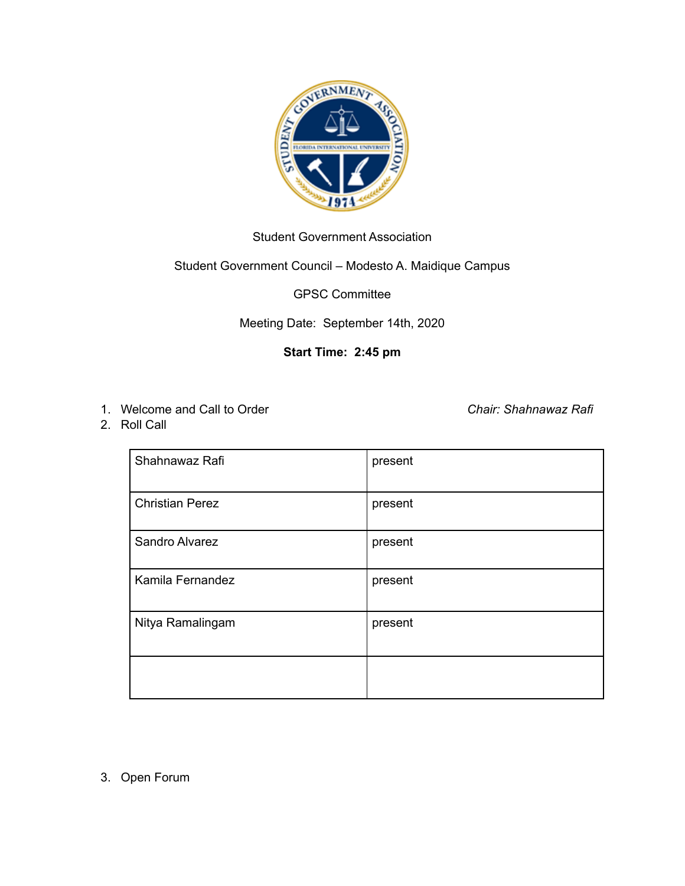

# Student Government Association

# Student Government Council – Modesto A. Maidique Campus

#### GPSC Committee

# Meeting Date: September 14th, 2020

# **Start Time: 2:45 pm**

1. Welcome and Call to Order *Chair: Shahnawaz Rafi*

2. Roll Call

| Shahnawaz Rafi         | present |
|------------------------|---------|
| <b>Christian Perez</b> | present |
| Sandro Alvarez         | present |
| Kamila Fernandez       | present |
| Nitya Ramalingam       | present |
|                        |         |

3. Open Forum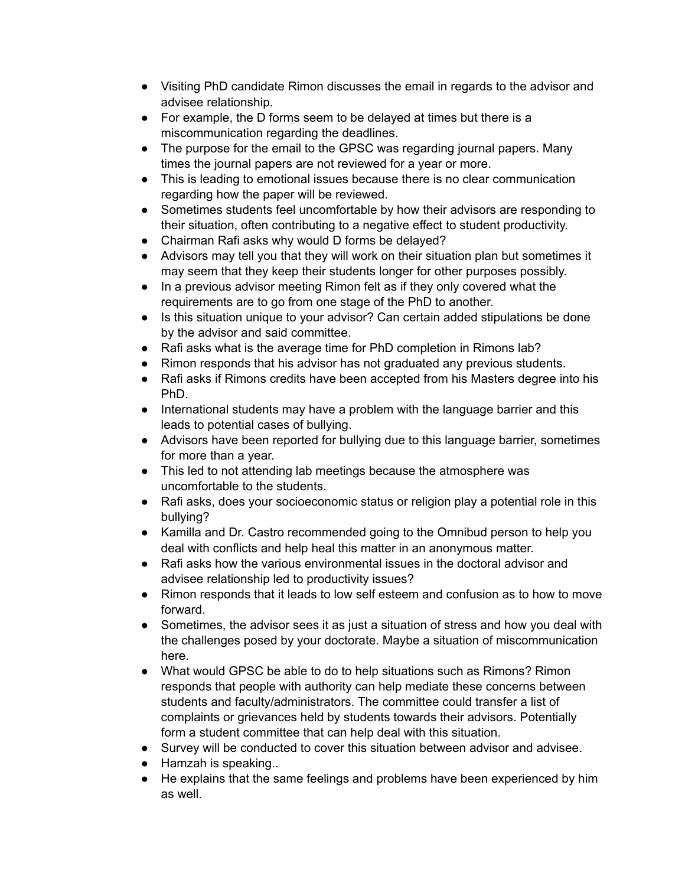- Visiting PhD candidate Rimon discusses the email in regards to the advisor and advisee relationship.
- For example, the D forms seem to be delayed at times but there is a miscommunication regarding the deadlines.
- The purpose for the email to the GPSC was regarding journal papers. Many times the journal papers are not reviewed for a year or more.
- This is leading to emotional issues because there is no clear communication regarding how the paper will be reviewed.
- Sometimes students feel uncomfortable by how their advisors are responding to their situation, often contributing to a negative effect to student productivity.
- Chairman Rafi asks why would D forms be delayed?
- Advisors may tell you that they will work on their situation plan but sometimes it may seem that they keep their students longer for other purposes possibly.
- In a previous advisor meeting Rimon felt as if they only covered what the requirements are to go from one stage of the PhD to another.
- Is this situation unique to your advisor? Can certain added stipulations be done by the advisor and said committee.
- Rafi asks what is the average time for PhD completion in Rimons lab?
- Rimon responds that his advisor has not graduated any previous students.
- Rafi asks if Rimons credits have been accepted from his Masters degree into his PhD.
- International students may have a problem with the language barrier and this leads to potential cases of bullying.
- Advisors have been reported for bullying due to this language barrier, sometimes for more than a year.
- This led to not attending lab meetings because the atmosphere was uncomfortable to the students.
- Rafi asks, does your socioeconomic status or religion play a potential role in this bullying?
- Kamilla and Dr. Castro recommended going to the Omnibud person to help you deal with conflicts and help heal this matter in an anonymous matter.
- Rafi asks how the various environmental issues in the doctoral advisor and advisee relationship led to productivity issues?
- Rimon responds that it leads to low self esteem and confusion as to how to move forward.
- Sometimes, the advisor sees it as just a situation of stress and how you deal with the challenges posed by your doctorate. Maybe a situation of miscommunication here.
- What would GPSC be able to do to help situations such as Rimons? Rimon responds that people with authority can help mediate these concerns between students and faculty/administrators. The committee could transfer a list of complaints or grievances held by students towards their advisors. Potentially form a student committee that can help deal with this situation.
- Survey will be conducted to cover this situation between advisor and advisee.
- Hamzah is speaking..
- He explains that the same feelings and problems have been experienced by him as well.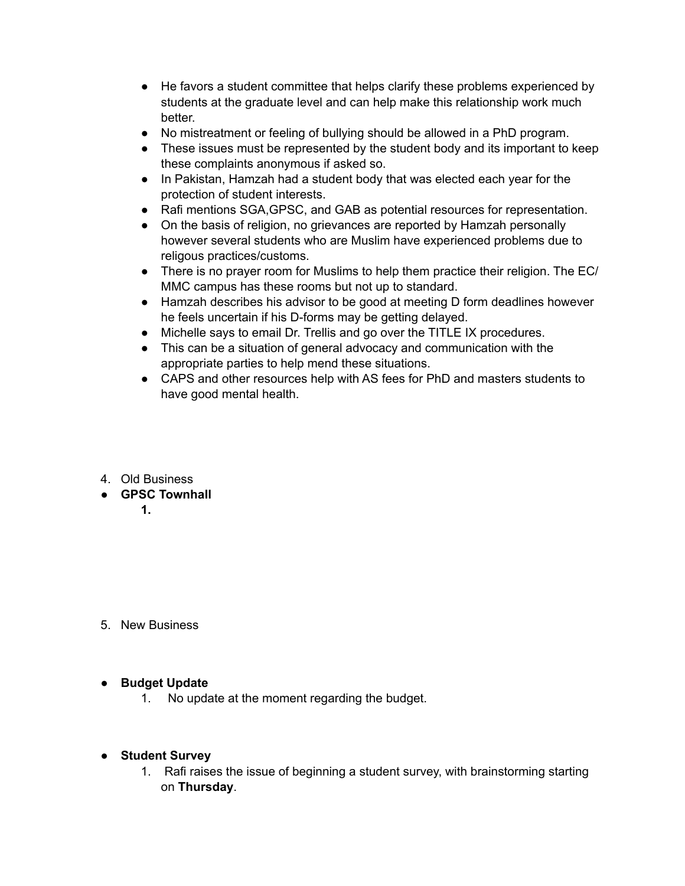- He favors a student committee that helps clarify these problems experienced by students at the graduate level and can help make this relationship work much better.
- No mistreatment or feeling of bullying should be allowed in a PhD program.
- These issues must be represented by the student body and its important to keep these complaints anonymous if asked so.
- In Pakistan, Hamzah had a student body that was elected each year for the protection of student interests.
- Rafi mentions SGA,GPSC, and GAB as potential resources for representation.
- On the basis of religion, no grievances are reported by Hamzah personally however several students who are Muslim have experienced problems due to religous practices/customs.
- There is no prayer room for Muslims to help them practice their religion. The EC/ MMC campus has these rooms but not up to standard.
- Hamzah describes his advisor to be good at meeting D form deadlines however he feels uncertain if his D-forms may be getting delayed.
- Michelle says to email Dr. Trellis and go over the TITLE IX procedures.
- This can be a situation of general advocacy and communication with the appropriate parties to help mend these situations.
- CAPS and other resources help with AS fees for PhD and masters students to have good mental health.
- 4. Old Business
- **● GPSC Townhall** 
	- **1.**

5. New Business

### **● Budget Update**

- 1. No update at the moment regarding the budget.
- **Student Survey**
	- 1. Rafi raises the issue of beginning a student survey, with brainstorming starting on **Thursday**.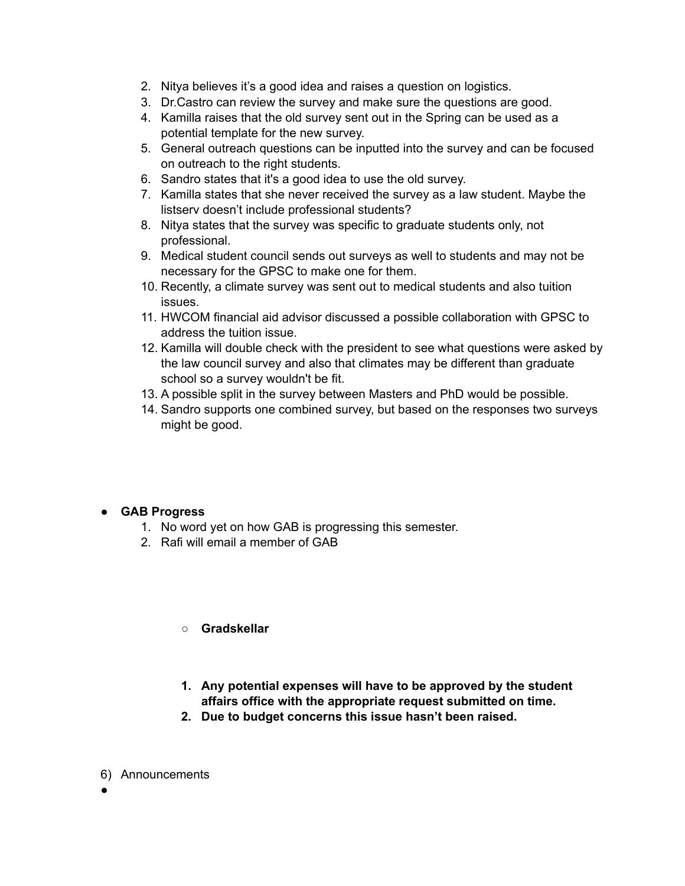- 2. Nitya believes it's a good idea and raises a question on logistics.
- 3. Dr.Castro can review the survey and make sure the questions are good.
- 4. Kamilla raises that the old survey sent out in the Spring can be used as a potential template for the new survey.
- 5. General outreach questions can be inputted into the survey and can be focused on outreach to the right students.
- 6. Sandro states that it's a good idea to use the old survey.
- 7. Kamilla states that she never received the survey as a law student. Maybe the listserv doesn't include professional students?
- 8. Nitya states that the survey was specific to graduate students only, not professional.
- 9. Medical student council sends out surveys as well to students and may not be necessary for the GPSC to make one for them.
- 10. Recently, a climate survey was sent out to medical students and also tuition issues.
- 11. HWCOM financial aid advisor discussed a possible collaboration with GPSC to address the tuition issue.
- 12. Kamilla will double check with the president to see what questions were asked by the law council survey and also that climates may be different than graduate school so a survey wouldn't be fit.
- 13. A possible split in the survey between Masters and PhD would be possible.
- 14. Sandro supports one combined survey, but based on the responses two surveys might be good.

### ● **GAB Progress**

- 1. No word yet on how GAB is progressing this semester.
- 2. Rafi will email a member of GAB

### **○ Gradskellar**

- **1. Any potential expenses will have to be approved by the student affairs office with the appropriate request submitted on time.**
- **2. Due to budget concerns this issue hasn't been raised.**
- 6) Announcements
- ●